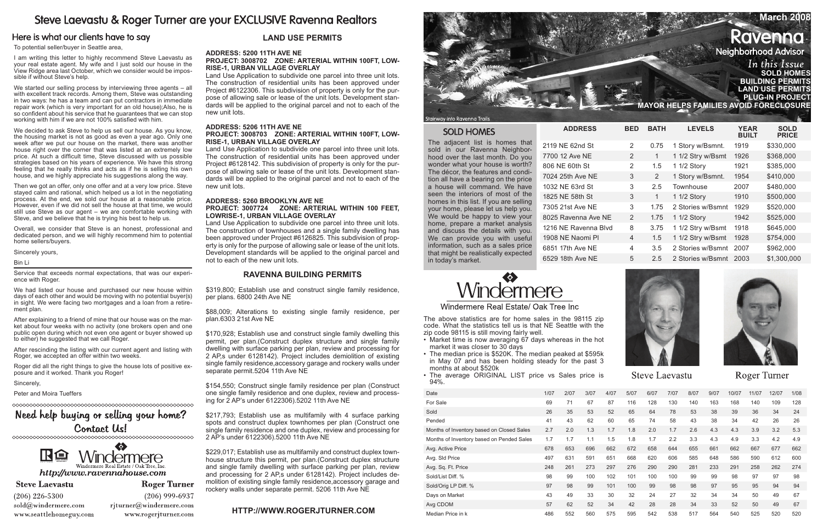# Steve Laevastu & Roger Turner are your EXCLUSIVE Ravenna Realtors

# Here is what our clients have to say

In this Issue **Sold Homes Building Permits Land Use Permits PLUG-IN PROJECT**

**Mayor Helps Families Avoid foreclosure**

Ravenna **Neighborhood Advisor** 

To potential seller/buyer in Seattle area,

I am writing this letter to highly recommend Steve Laevastu as your real estate agent. My wife and I just sold our house in the View Ridge area last October, which we consider would be impossible if without Steve's help.

We started our selling process by interviewing three agents – all with excellent track records. Among them, Steve was outstanding in two ways: he has a team and can put contractors in immediate repair work (which is very important for an old house);Also, he is so confident about his service that he guarantees that we can stop working with him if we are not 100% satisfied with him.

We decided to ask Steve to help us sell our house. As you know, the housing market is not as good as even a year ago. Only one week after we put our house on the market, there was another house right over the corner that was listed at an extremely low price. At such a difficult time, Steve discussed with us possible strategies based on his years of experience. We have this strong feeling that he really thinks and acts as if he is selling his own house, and we highly appreciate his suggestions along the way.

Then we got an offer, only one offer and at a very low price. Steve stayed calm and rational, which helped us a lot in the negotiating process. At the end, we sold our house at a reasonable price. However, even if we did not sell the house at that time, we would still use Steve as our agent – we are comfortable working with Steve, and we believe that he is trying his best to help us.

Overall, we consider that Steve is an honest, professional and dedicated person, and we will highly recommend him to potential home sellers/buyers.

Sincerely yours,

### Bin Li

Service that exceeds normal expectations, that was our experience with Roger.

We had listed our house and purchased our new house within days of each other and would be moving with no potential buyer(s) in sight. We were facing two mortgages and a loan from a retirement plan.

After explaining to a friend of mine that our house was on the market about four weeks with no activity (one brokers open and one public open during which not even one agent or buyer showed up to either) he suggested that we call Roger.

After rescinding the listing with our current agent and listing with Roger, we accepted an offer within two weeks.

> \$217,793; Establish use as multifamily with 4 surface parking spots and construct duplex townhomes per plan (Construct one single family residence and one duplex, review and processing for 2 AP's under 6122306).5200 11th Ave NE

Roger did all the right things to give the house lots of positive exposure and it worked. Thank you Roger!

Sincerely,

Peter and Moira Tueffers

# Need help buying or selling your home? Contact Us!



# **Steve Laevastu**

 $(206)$  226-5300 sold@windermere.com www.seattlehomeguy.com

**Roger Turner**  $(206)$  999-6937 rjturner@windermere.com www.rogerjturner.com

## **LAND USE PERMITS**

### **Address: 5200 11TH AVE NE Project: 3008702 Zone: ARTERIAL WITHIN 100FT, LOW-RISE-1, URBAN VILLAGE OVERLAY**

Land Use Application to subdivide one parcel into three unit lots. The construction of residential units has been approved under Project #6122306. This subdivision of property is only for the purpose of allowing sale or lease of the unit lots. Development standards will be applied to the original parcel and not to each of the new unit lots.

### **Address: 5206 11TH AVE NE Project: 3008703 Zone: ARTERIAL WITHIN 100FT, LOW-**

## **RISE-1, URBAN VILLAGE OVERLAY**

Land Use Application to subdivide one parcel into three unit lots. The construction of residential units has been approved under Project #6128142. This subdivision of property is only for the purpose of allowing sale or lease of the unit lots. Development standards will be applied to the original parcel and not to each of the new unit lots.

# **Address: 5260 BROOKLYN AVE NE**

### **Project: 3007724 Zone: ARTERIAL WITHIN 100 FEET, LOWRISE-1, URBAN VILLAGE OVERLAY**

Land Use Application to subdivide one parcel into three unit lots. The construction of townhouses and a single family dwelling has been approved under Project #6126825. This subdivision of property is only for the purpose of allowing sale or lease of the unit lots. Development standards will be applied to the original parcel and not to each of the new unit lots.

## **Ravenna Building Permits**

\$319,800; Establish use and construct single family residence, per plans. 6800 24th Ave NE

\$88,009; Alterations to existing single family residence, per plan.6303 21st Ave NE

\$170,928; Establish use and construct single family dwelling this permit, per plan.(Construct duplex structure and single family dwelling with surface parking per plan, review and processing for 2 AP,s under 6128142). Project includes demiolition of existing single family residence,accessory garage and rockery walls under separate permit.5204 11th Ave NE

\$154,550; Construct single family residence per plan (Construct one single family residence and one duplex, review and processing for 2 AP's under 6122306).5202 11th Ave NE

\$229,017; Establish use as multifamily and construct duplex townhouse structure this permit, per plan.(Construct duplex structure and single family dwelling with surface parking per plan, review and processing for 2 AP,s under 6128142). Project includes demolition of existing single family residence,accessory garage and rockery walls under separate permit. 5206 11th Ave NE

The adjacent list is homes that sold in our Ravenna Neighborhood over the last month. Do you wonder what your house is worth? The décor, the features and condition all have a bearing on the price a house will command. We have seen the interiors of most of the homes in this list. If you are selling your home, please let us help you. We would be happy to view your home, prepare a market analysis and discuss the details with you. We can provide you with useful information, such as a sales price that might be realistically expected in today's market.

2119 NE 62nd St 7700 12 Ave NE 806 NE 60th St 7024 25th Ave NE 1032 NE 63rd St 1825 NE 58th St 7305 21st Ave NE 8025 Ravenna Ave N 1216 NE Ravenna BI 1908 NE Naomi Pl 6851 17th Ave NE 6529 18th Ave NE

 $ADDRESS$ 

# dermere

Windermere Real Estate/ Oak Tree Inc

|    | <b>BED</b> | <b>BATH</b> | <b>LEVELS</b>     | <b>YEAR</b><br><b>BUILT</b> | <b>SOLD</b><br><b>PRICE</b> |
|----|------------|-------------|-------------------|-----------------------------|-----------------------------|
|    | 2          | 0.75        | 1 Story w/Bsmnt.  | 1919                        | \$330,000                   |
|    | 2          | 1           | 1 1/2 Stry w/Bsmt | 1926                        | \$368,000                   |
|    | 2          | 1.5         | 1 1/2 Story       | 1921                        | \$385,000                   |
|    | 3          | 2           | 1 Story w/Bsmnt.  | 1954                        | \$410,000                   |
|    | 3          | 2.5         | Townhouse         | 2007                        | \$480,000                   |
|    | 3          | 1           | 1 1/2 Story       | 1910                        | \$500,000                   |
|    | 3          | 1.75        | 2 Stories w/Bsmnt | 1929                        | \$520,000                   |
| ΙE | 2          | 1.75        | 1 1/2 Story       | 1942                        | \$525,000                   |
| vd | 8          | 3.75        | 1 1/2 Stry w/Bsmt | 1918                        | \$645,000                   |
|    | 4          | 1.5         | 1 1/2 Stry w/Bsmt | 1928                        | \$754,000                   |
|    | 4          | 3.5         | 2 Stories w/Bsmnt | 2007                        | \$962,000                   |
|    | 5          | 2.5         | 2 Stories w/Bsmnt | 2003                        | \$1,300,000                 |



**Steve Laevastu** 



Roger Turner

| Date                                      | 1/07 | 2/07 | 3/07 | 4/07 | 5/07 | 6/07 | 7/07 | 8/07 | 9/07 | 10/07 | 11/07 | 12/07 | 1/08 |
|-------------------------------------------|------|------|------|------|------|------|------|------|------|-------|-------|-------|------|
| For Sale                                  | 69   | 71   | 67   | 87   | 116  | 128  | 130  | 140  | 163  | 168   | 140   | 109   | 128  |
| Sold                                      | 26   | 35   | 53   | 52   | 65   | 64   | 78   | 53   | 38   | 39    | 36    | 34    | 24   |
| Pended                                    | 41   | 43   | 62   | 60   | 65   | 74   | 58   | 43   | 38   | 34    | 42    | 26    | 26   |
| Months of Inventory based on Closed Sales | 2.7  | 2.0  | 1.3  | 1.7  | 1.8  | 2.0  | 1.7  | 2.6  | 4.3  | 4.3   | 3.9   | 3.2   | 5.3  |
| Months of Inventory based on Pended Sales | 1.7  | 1.7  | 1.1  | 1.5  | 1.8  | 1.7  | 2.2  | 3.3  | 4.3  | 4.9   | 3.3   | 4.2   | 4.9  |
| Avg. Active Price                         | 678  | 653  | 696  | 662  | 672  | 658  | 644  | 655  | 661  | 662   | 667   | 677   | 662  |
| Avg. Sld Price                            | 497  | 631  | 591  | 651  | 668  | 620  | 606  | 585  | 648  | 586   | 590   | 612   | 600  |
| Avg. Sq. Ft. Price                        | 248  | 261  | 273  | 297  | 276  | 290  | 290  | 281  | 233  | 291   | 258   | 262   | 274  |
| Sold/List Diff. %                         | 98   | 99   | 100  | 102  | 101  | 100  | 100  | 99   | 99   | 98    | 97    | 97    | 98   |
| Sold/Orig LP Diff. %                      | 97   | 98   | 99   | 101  | 100  | 99   | 98   | 98   | 97   | 95    | 95    | 94    | 94   |
| Days on Market                            | 43   | 49   | 33   | 30   | 32   | 24   | 27   | 32   | 34   | 34    | 50    | 49    | 67   |
| Avg CDOM                                  | 57   | 62   | 52   | 34   | 42   | 28   | 28   | 34   | 33   | 52    | 50    | 49    | 67   |
| Median Price in k                         | 486  | 552  | 560  | 575  | 595  | 542  | 538  | 517  | 564  | 540   | 525   | 520   | 520  |

The above statistics are for home sales in the 98115 zip code. What the statistics tell us is that NE Seattle with the zip code 98115 is still moving fairly well.

- Market time is now averaging 67 days whereas in the hot market it was closer to 30 days
- The median price is \$520K. The median peaked at \$595k in May 07 and has been holding steady for the past 3 months at about \$520k
- The average ORIGINAL LIST price vs Sales price is 94%.

## **http://www.rogerjturner.com**



Stairway into Ravenna Trails

### **SOLD HOMES**